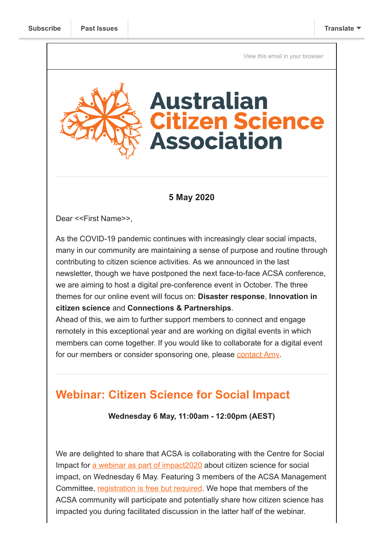[View this email in your browser](https://mailchi.mp/84cbd3379c72/webinar-alert-and-why-posting-a-letter-has-never-looked-so-good?e=[UNIQID])

# **Australian itizen Science Association**

#### **5 May 2020**

Dear <<First Name>>,

As the COVID-19 pandemic continues with increasingly clear social impacts, many in our community are maintaining a sense of purpose and routine through contributing to citizen science activities. As we announced in the last newsletter, though we have postponed the next face-to-face ACSA conference, we are aiming to host a digital pre-conference event in October. The three themes for our online event will focus on: **Disaster response**, **Innovation in citizen science** and **Connections & Partnerships**.

Ahead of this, we aim to further support members to connect and engage remotely in this exceptional year and are working on digital events in which members can come together. If you would like to collaborate for a digital event for our members or consider sponsoring one, please [contact Amy](mailto:coordinator@citizenscience.org.au).

## **Webinar: Citizen Science for Social Impact**

**Wednesday 6 May, 11:00am - 12:00pm (AEST)**

We are delighted to share that ACSA is collaborating with the Centre for Social Impact for a webinar as part of impact 2020 about citizen science for social impact, on Wednesday 6 May. Featuring 3 members of the ACSA Management Committee, [registration is free but required](https://events.humanitix.com/webinar-ten-citizen-science-for-social-impact). We hope that members of the ACSA community will participate and potentially share how citizen science has impacted you during facilitated discussion in the latter half of the webinar.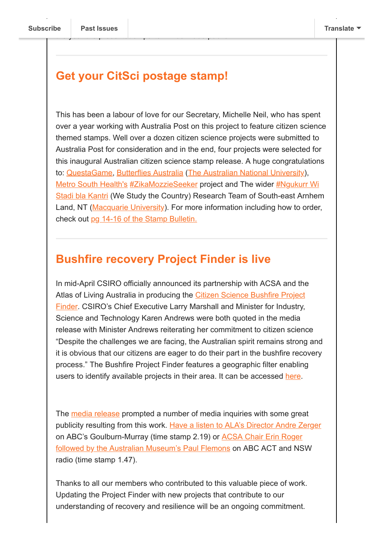### **Get your CitSci postage stamp!**

the year the presentation parts will be made public.

This has been a labour of love for our Secretary, Michelle Neil, who has spent over a year working with Australia Post on this project to feature citizen science themed stamps. Well over a dozen citizen science projects were submitted to Australia Post for consideration and in the end, four projects were selected for this inaugural Australian citizen science stamp release. A huge congratulations to: [QuestaGame,](https://www.facebook.com/questagame/?__tn__=K-R&eid=ARAefUITRO81Mi654RIrSq-YckCqbBi9UnJQSKTXqjbGLvGzrcU9t6sInx4J37QUPICdK1O0BPJBYVPx&fref=mentions&__xts__%5B0%5D=68.ARA4j3h3YFmCwmpTPX9kxiK5p3UxXMht84FN4clqAuNlktTab_C1DUd1T7wmIn_0Sj8IB6B6PkjnQ5xTGp3tUBIYz4VKozFpAvlpb1-n7BJrsqvnPPF404TDPN823si2N9BEciA310uWZ926W2XwRdVJef3bgudGsynKpYiPLzu9IZIvlHfNGwWemBP0WsM1LXnriKxaGXhyharP-oGhk0DUbZJNtDQ_x9DGe0A2DXw5rwGGrSfZjD9hveWVrPLRFPNgE--yPGi2v2qYs8r-daIsZS6EDOBBg4vX_2ow6iPMDMy8of8_5Cu91dp9WTlqRt2rnfplPKcoMmJqZqhbbH_YUw) [Butterflies Australia](https://www.facebook.com/ausbutterflies/?__tn__=K-R&eid=ARDTFKAedr6SqtjAS1q2yIj6rlUHJ5bpXpIFxil3uqR4O3WpERbTZhUDhYz8q9JyuEmCHA5UGNMdWdUb&fref=mentions&__xts__%5B0%5D=68.ARA4j3h3YFmCwmpTPX9kxiK5p3UxXMht84FN4clqAuNlktTab_C1DUd1T7wmIn_0Sj8IB6B6PkjnQ5xTGp3tUBIYz4VKozFpAvlpb1-n7BJrsqvnPPF404TDPN823si2N9BEciA310uWZ926W2XwRdVJef3bgudGsynKpYiPLzu9IZIvlHfNGwWemBP0WsM1LXnriKxaGXhyharP-oGhk0DUbZJNtDQ_x9DGe0A2DXw5rwGGrSfZjD9hveWVrPLRFPNgE--yPGi2v2qYs8r-daIsZS6EDOBBg4vX_2ow6iPMDMy8of8_5Cu91dp9WTlqRt2rnfplPKcoMmJqZqhbbH_YUw) [\(The Australian National University](https://www.facebook.com/TheAustralianNationalUniversity/?__tn__=K-R&eid=ARCTzwVNhyPUfqzms8FSOa1TObQ1V1AAf5vxYQzLyN-MhXXKv1bDee8SGFJJxhwdhVfN1RrbFQeukN_b&fref=mentions&__xts__%5B0%5D=68.ARA4j3h3YFmCwmpTPX9kxiK5p3UxXMht84FN4clqAuNlktTab_C1DUd1T7wmIn_0Sj8IB6B6PkjnQ5xTGp3tUBIYz4VKozFpAvlpb1-n7BJrsqvnPPF404TDPN823si2N9BEciA310uWZ926W2XwRdVJef3bgudGsynKpYiPLzu9IZIvlHfNGwWemBP0WsM1LXnriKxaGXhyharP-oGhk0DUbZJNtDQ_x9DGe0A2DXw5rwGGrSfZjD9hveWVrPLRFPNgE--yPGi2v2qYs8r-daIsZS6EDOBBg4vX_2ow6iPMDMy8of8_5Cu91dp9WTlqRt2rnfplPKcoMmJqZqhbbH_YUw)), [Metro South Health's](https://www.facebook.com/MetroSouthHealth/?__tn__=K-R&eid=ARCUc2yJM29Ygx7T8ppXt0DMVJlEyV5tVvAU8nWk4ce0KqHYAquF5vzQd78H9lKUW8FpcbHzCFQcVRev&fref=mentions&__xts__%5B0%5D=68.ARA4j3h3YFmCwmpTPX9kxiK5p3UxXMht84FN4clqAuNlktTab_C1DUd1T7wmIn_0Sj8IB6B6PkjnQ5xTGp3tUBIYz4VKozFpAvlpb1-n7BJrsqvnPPF404TDPN823si2N9BEciA310uWZ926W2XwRdVJef3bgudGsynKpYiPLzu9IZIvlHfNGwWemBP0WsM1LXnriKxaGXhyharP-oGhk0DUbZJNtDQ_x9DGe0A2DXw5rwGGrSfZjD9hveWVrPLRFPNgE--yPGi2v2qYs8r-daIsZS6EDOBBg4vX_2ow6iPMDMy8of8_5Cu91dp9WTlqRt2rnfplPKcoMmJqZqhbbH_YUw) [#ZikaMozzieSeeker](https://www.facebook.com/hashtag/zikamozzieseeker?source=feed_text&epa=HASHTAG&__xts__%5B0%5D=68.ARA4j3h3YFmCwmpTPX9kxiK5p3UxXMht84FN4clqAuNlktTab_C1DUd1T7wmIn_0Sj8IB6B6PkjnQ5xTGp3tUBIYz4VKozFpAvlpb1-n7BJrsqvnPPF404TDPN823si2N9BEciA310uWZ926W2XwRdVJef3bgudGsynKpYiPLzu9IZIvlHfNGwWemBP0WsM1LXnriKxaGXhyharP-oGhk0DUbZJNtDQ_x9DGe0A2DXw5rwGGrSfZjD9hveWVrPLRFPNgE--yPGi2v2qYs8r-daIsZS6EDOBBg4vX_2ow6iPMDMy8of8_5Cu91dp9WTlqRt2rnfplPKcoMmJqZqhbbH_YUw&__tn__=%2ANK-R) project and The wider #Ngukurr Wi [Stadi bla Kantri \(We Study the Country\) Research Team of South-east Arnhem](https://www.facebook.com/hashtag/ngukurr?source=feed_text&epa=HASHTAG&__xts__%5B0%5D=68.ARA4j3h3YFmCwmpTPX9kxiK5p3UxXMht84FN4clqAuNlktTab_C1DUd1T7wmIn_0Sj8IB6B6PkjnQ5xTGp3tUBIYz4VKozFpAvlpb1-n7BJrsqvnPPF404TDPN823si2N9BEciA310uWZ926W2XwRdVJef3bgudGsynKpYiPLzu9IZIvlHfNGwWemBP0WsM1LXnriKxaGXhyharP-oGhk0DUbZJNtDQ_x9DGe0A2DXw5rwGGrSfZjD9hveWVrPLRFPNgE--yPGi2v2qYs8r-daIsZS6EDOBBg4vX_2ow6iPMDMy8of8_5Cu91dp9WTlqRt2rnfplPKcoMmJqZqhbbH_YUw&__tn__=%2ANK-R) Land, NT ([Macquarie University\)](https://www.facebook.com/macquarieuni/?__tn__=K-R&eid=ARDI12YTY_E27Rrldzddhw2lWOjnbSq0GVa5MXhehwqjD3jRz7HSQTejgsai40N-Q-NV1iFBLi56lLL7&fref=mentions&__xts__%5B0%5D=68.ARA4j3h3YFmCwmpTPX9kxiK5p3UxXMht84FN4clqAuNlktTab_C1DUd1T7wmIn_0Sj8IB6B6PkjnQ5xTGp3tUBIYz4VKozFpAvlpb1-n7BJrsqvnPPF404TDPN823si2N9BEciA310uWZ926W2XwRdVJef3bgudGsynKpYiPLzu9IZIvlHfNGwWemBP0WsM1LXnriKxaGXhyharP-oGhk0DUbZJNtDQ_x9DGe0A2DXw5rwGGrSfZjD9hveWVrPLRFPNgE--yPGi2v2qYs8r-daIsZS6EDOBBg4vX_2ow6iPMDMy8of8_5Cu91dp9WTlqRt2rnfplPKcoMmJqZqhbbH_YUw). For more information including how to order, check out [pg 14-16 of the Stamp Bulletin.](https://australiapostcollectables.com.au/content/dam/auspost_corp_microsites/collectables/documents/stamp-bulletins/2020/stamp-bulletin-365.pdf?fbclid=IwAR0dWLIWpAwRHvfzwVi3vxNqfda3Uf6qROYcXHkujVe6r9RueZUR-ZO0Ius)

#### **Bushfire recovery Project Finder is live**

In mid-April CSIRO officially announced its partnership with ACSA and the Atlas of Living Australia in producing the Citizen Science Bushfire Project [Finder. CSIRO's Chief Executive Larry Marshall and Minister for Industry,](https://biocollect.ala.org.au/bushfire_recovery#isCitizenScience%3Dtrue%26max%3D20%26sort%3DdateCreatedSort) Science and Technology Karen Andrews were both quoted in the media release with Minister Andrews reiterating her commitment to citizen science "Despite the challenges we are facing, the Australian spirit remains strong and it is obvious that our citizens are eager to do their part in the bushfire recovery process." The Bushfire Project Finder features a geographic filter enabling users to identify available projects in their area. It can be accessed [here.](https://biocollect.ala.org.au/bushfire_recovery#isCitizenScience%3Dtrue%26max%3D20%26sort%3DdateCreatedSort)

The [media release](https://www.csiro.au/en/News/News-releases/2020/Citizen-science-to-aid-bushfire-recovery) prompted a number of media inquiries with some great publicity resulting from this work. [Have a listen to ALA's Director Andre Zerger](https://www.abc.net.au/radio/goulburnmurray/programs/breakfast/breakfast/12148862) [on ABC's Goulburn-Murray \(time stamp 2.19\) or ACSA Chair Erin Roger](https://www.abc.net.au/radio/sydney/programs/evenings/evenings/12152012) followed by the Australian Museum's Paul Flemons on ABC ACT and NSW radio (time stamp 1.47).

Thanks to all our members who contributed to this valuable piece of work. Updating the Project Finder with new projects that contribute to our understanding of recovery and resilience will be an ongoing commitment.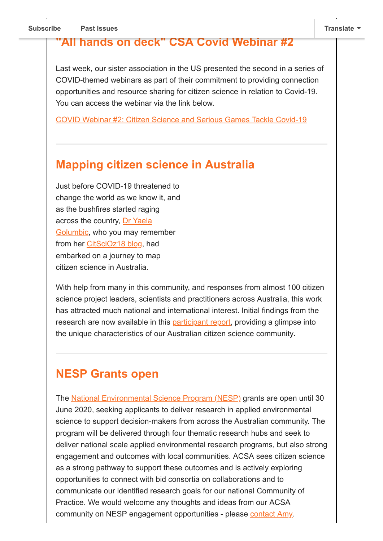#### **"All hands on deck" CSA Covid Webinar #2**

Last week, our sister association in the US presented the second in a series of COVID-themed webinars as part of their commitment to providing connection opportunities and resource sharing for citizen science in relation to Covid-19. You can access the webinar via the link below.

[COVID Webinar #2: Citizen Science and Serious Games Tackle Covid-19](https://www.youtube.com/watch?v=OX36TJQfaIA&feature=em-uploademail)

#### **Mapping citizen science in Australia**

Just before COVID-19 threatened to change the world as we know it, and as the bushfires started raging [across the country, Dr Yaela](https://www.linkedin.com/in/yaela-golumbic-20171022) Golumbic, who you may remember from her [CitSciOz18 blog,](https://citizenscience.org.au/2018/06/07/citizen-science-in-australia-is-inspiring/) had embarked on a journey to map citizen science in Australia.

With help from many in this community, and responses from almost 100 citizen science project leaders, scientists and practitioners across Australia, this work has attracted much national and international interest. Initial findings from the research are now available in this [participant report](https://cpas.anu.edu.au/research/research-projects/mapping-citizen-science-australia), providing a glimpse into the unique characteristics of our Australian citizen science community**.**

#### **NESP Grants open**

The [National Environmental Science Program \(NESP\)](https://www.communitygrants.gov.au/grants/national-environmental-science-program-nesp-2) grants are open until 30 June 2020, seeking applicants to deliver research in applied environmental science to support decision-makers from across the Australian community. The program will be delivered through four thematic research hubs and seek to deliver national scale applied environmental research programs, but also strong engagement and outcomes with local communities. ACSA sees citizen science as a strong pathway to support these outcomes and is actively exploring opportunities to connect with bid consortia on collaborations and to communicate our identified research goals for our national Community of Practice. We would welcome any thoughts and ideas from our ACSA community on NESP engagement opportunities - please [contact Amy](mailto:coordinator@citizenscience.org.au).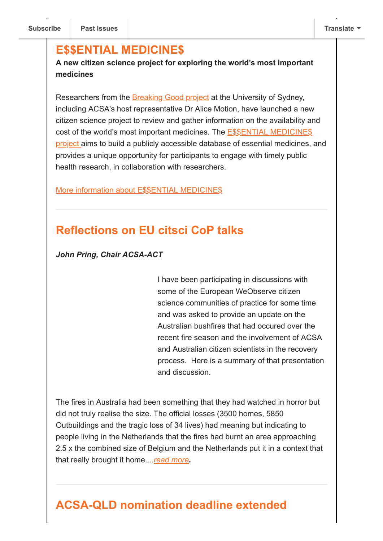#### **E\$\$ENTIAL MEDICINE\$**

**A new citizen science project for exploring the world's most important medicines**

Researchers from the [Breaking Good project](https://www.breakinggoodproject.com/) at the University of Sydney, including ACSA's host representative Dr Alice Motion, have launched a new citizen science project to review and gather information on the availability and [cost of the world's most important medicines. The E\\$\\$ENTIAL MEDICINE\\$](https://www.breakinggoodproject.com/essentialmedicines) project aims to build a publicly accessible database of essential medicines, and provides a unique opportunity for participants to engage with timely public health research, in collaboration with researchers.

[More information about E\\$\\$ENTIAL MEDICINE\\$](https://www.breakinggoodproject.com/essentialmedicines)

### **Reflections on EU citsci CoP talks**

*John Pring, Chair ACSA-ACT* 

I have been participating in discussions with some of the European WeObserve citizen science communities of practice for some time and was asked to provide an update on the Australian bushfires that had occured over the recent fire season and the involvement of ACSA and Australian citizen scientists in the recovery process. Here is a summary of that presentation and discussion.

The fires in Australia had been something that they had watched in horror but did not truly realise the size. The official losses (3500 homes, 5850 Outbuildings and the tragic loss of 34 lives) had meaning but indicating to people living in the Netherlands that the fires had burnt an area approaching 2.5 x the combined size of Belgium and the Netherlands put it in a context that that really brought it home....*[read more](https://citizenscience.org.au/2020/05/04/reflections-on-eu-citsci-cop-talks/).*

## **ACSA-QLD nomination deadline extended**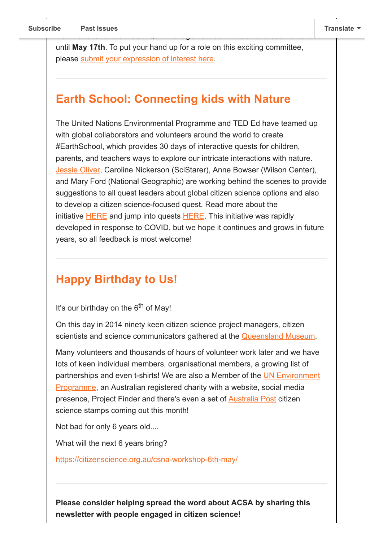until **May 17th**. To put your hand up for a role on this exciting committee, please [submit your expression of interest here](https://www.surveymonkey.com/r/LPJ6FH9).

No[minations for the A](https://us9.campaign-archive.com/home/?u=bf6c4fb11671f5919db89feda&id=40b221ed15)CSA-QLD management committee have been extended

#### **Earth School: Connecting kids with Nature**

The United Nations Environmental Programme and TED Ed have teamed up with global collaborators and volunteers around the world to create #EarthSchool, which provides 30 days of interactive quests for children, parents, and teachers ways to explore our intricate interactions with nature. [Jessie Oliver,](https://twitter.com/JessieLOliver) Caroline Nickerson (SciStarer), Anne Bowser (Wilson Center), and Mary Ford (National Geographic) are working behind the scenes to provide suggestions to all quest leaders about global citizen science options and also to develop a citizen science-focused quest. Read more about the initiative [HERE](https://blog.ed.ted.com/2020/04/21/earth-school-launched-to-keep-students-connected-to-nature/) and jump into quests [HERE.](https://ed.ted.com/earth-school) This initiative was rapidly developed in response to COVID, but we hope it continues and grows in future years, so all feedback is most welcome!

## **Happy Birthday to Us!**

It's our birthday on the 6<sup>th</sup> of May!

On this day in 2014 ninety keen citizen science project managers, citizen scientists and science communicators gathered at the **Queensland Museum**.

Many volunteers and thousands of hours of volunteer work later and we have lots of keen individual members, organisational members, a growing list of [partnerships and even t-shirts! We are also a Member of the UN Environment](https://www.facebook.com/unep/?__tn__=K-R&eid=ARDoaSu4h8i0Wqfj1-KNF7mRG8LLsksdxZm-82720w1vaRVdYra1ubgjOvDbGxIYYGPDUakL5jbelYVK&fref=mentions&__xts__%5B0%5D=68.ARAMoaQZXupNfPq-jGCao5j-FGo4CpenB3rbUX1smnLMAOYTTEswMjq35Rxydm2fBUnrmU2I7-X76x9sakQdeaUmjTkKHIHfi1ydCqzmdq3eFx4qF0tozd0LyrWMjPrPtsFR7w90T7MoPHjqgvasfHrFPlD1NPOBzZPUUy4J6rLkCQQy5av_QoqVXIz9G18TRdAwwNiH0abE0-ZnKQhgei3AAPRrOaZFfaeR0srgqBxt_QjBqtqC9nDSlcN3WIP-ttZR2nMueW9H53HxHvLZ58StiD0BJDYW7h_igOWo9M5YWK-ybez1pwe6OS6oGT8JqZJz) Programme, an Australian registered charity with a website, social media presence, Project Finder and there's even a set of [Australia Post](https://www.facebook.com/australiapost/?__tn__=K-R&eid=ARAA02t1M6Cn5h1kb2-B27Jybwd2YGnLRmf3qr3JzAQG4viNC3z_-rx8FbM12UAqvrlsbpiqRfs6PyZ5&fref=mentions&__xts__%5B0%5D=68.ARAMoaQZXupNfPq-jGCao5j-FGo4CpenB3rbUX1smnLMAOYTTEswMjq35Rxydm2fBUnrmU2I7-X76x9sakQdeaUmjTkKHIHfi1ydCqzmdq3eFx4qF0tozd0LyrWMjPrPtsFR7w90T7MoPHjqgvasfHrFPlD1NPOBzZPUUy4J6rLkCQQy5av_QoqVXIz9G18TRdAwwNiH0abE0-ZnKQhgei3AAPRrOaZFfaeR0srgqBxt_QjBqtqC9nDSlcN3WIP-ttZR2nMueW9H53HxHvLZ58StiD0BJDYW7h_igOWo9M5YWK-ybez1pwe6OS6oGT8JqZJz) citizen science stamps coming out this month!

Not bad for only 6 years old....

What will the next 6 years bring?

[https://citizenscience.org.au/csna-workshop-6th-may/](https://citizenscience.org.au/csna-workshop-6th-may/?fbclid=IwAR166DDcqRj2m0ZGxS-5No4esNFCULOpE87PzVse1Z1IilX1gNMQzjl1RCk)

**Please consider helping spread the word about ACSA by sharing this newsletter with people engaged in citizen science!**